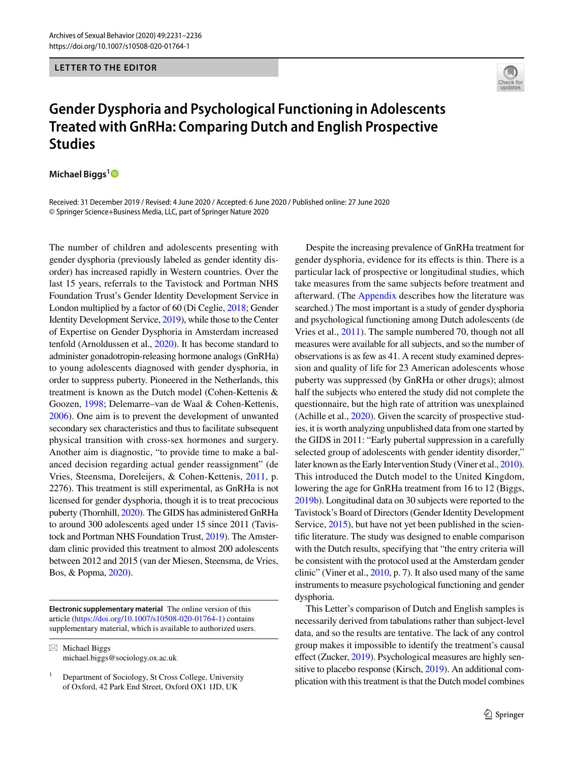#### **LETTER TO THE EDITOR**

# **Gender Dysphoria and Psychological Functioning in Adolescents Treated with GnRHa: Comparing Dutch and English Prospective Studies**

**Michael Biggs[1](http://orcid.org/0000-0003-4570-9753)**

Received: 31 December 2019 / Revised: 4 June 2020 / Accepted: 6 June 2020 / Published online: 27 June 2020 © Springer Science+Business Media, LLC, part of Springer Nature 2020

The number of children and adolescents presenting with gender dysphoria (previously labeled as gender identity disorder) has increased rapidly in Western countries. Over the last 15 years, referrals to the Tavistock and Portman NHS Foundation Trust's Gender Identity Development Service in London multiplied by a factor of 60 (Di Ceglie, [2018](#page-5-0); Gender Identity Development Service, [2019\)](#page-5-1), while those to the Center of Expertise on Gender Dysphoria in Amsterdam increased tenfold (Arnoldussen et al., [2020](#page-4-0)). It has become standard to administer gonadotropin-releasing hormone analogs (GnRHa) to young adolescents diagnosed with gender dysphoria, in order to suppress puberty. Pioneered in the Netherlands, this treatment is known as the Dutch model (Cohen-Kettenis & Goozen, [1998;](#page-5-2) Delemarre–van de Waal & Cohen-Kettenis, [2006](#page-5-3)). One aim is to prevent the development of unwanted secondary sex characteristics and thus to facilitate subsequent physical transition with cross-sex hormones and surgery. Another aim is diagnostic, "to provide time to make a balanced decision regarding actual gender reassignment" (de Vries, Steensma, Doreleijers, & Cohen-Kettenis, [2011,](#page-5-4) p. 2276). This treatment is still experimental, as GnRHa is not licensed for gender dysphoria, though it is to treat precocious puberty (Thornhill, [2020\)](#page-5-5). The GIDS has administered GnRHa to around 300 adolescents aged under 15 since 2011 (Tavistock and Portman NHS Foundation Trust, [2019\)](#page-5-6). The Amsterdam clinic provided this treatment to almost 200 adolescents between 2012 and 2015 (van der Miesen, Steensma, de Vries, Bos, & Popma, [2020](#page-5-7)).

**Electronic supplementary material** The online version of this article [\(https://doi.org/10.1007/s10508-020-01764-1\)](https://doi.org/10.1007/s10508-020-01764-1) contains supplementary material, which is available to authorized users.

 $\boxtimes$  Michael Biggs michael.biggs@sociology.ox.ac.uk

Despite the increasing prevalence of GnRHa treatment for gender dysphoria, evidence for its efects is thin. There is a particular lack of prospective or longitudinal studies, which take measures from the same subjects before treatment and afterward. (The [Appendix](#page-4-1) describes how the literature was searched.) The most important is a study of gender dysphoria and psychological functioning among Dutch adolescents (de Vries et al., [2011](#page-5-4)). The sample numbered 70, though not all measures were available for all subjects, and so the number of observations is as few as 41. A recent study examined depression and quality of life for 23 American adolescents whose puberty was suppressed (by GnRHa or other drugs); almost half the subjects who entered the study did not complete the questionnaire, but the high rate of attrition was unexplained (Achille et al., [2020](#page-4-2)). Given the scarcity of prospective studies, it is worth analyzing unpublished data from one started by the GIDS in 2011: "Early pubertal suppression in a carefully selected group of adolescents with gender identity disorder," later known as the Early Intervention Study (Viner et al., [2010\)](#page-5-8). This introduced the Dutch model to the United Kingdom, lowering the age for GnRHa treatment from 16 to 12 (Biggs, [2019b\)](#page-4-3). Longitudinal data on 30 subjects were reported to the Tavistock's Board of Directors (Gender Identity Development Service, [2015\)](#page-5-9), but have not yet been published in the scientifc literature. The study was designed to enable comparison with the Dutch results, specifying that "the entry criteria will be consistent with the protocol used at the Amsterdam gender clinic" (Viner et al., [2010,](#page-5-8) p. 7). It also used many of the same instruments to measure psychological functioning and gender dysphoria.

This Letter's comparison of Dutch and English samples is necessarily derived from tabulations rather than subject-level data, and so the results are tentative. The lack of any control group makes it impossible to identify the treatment's causal effect (Zucker, [2019](#page-5-10)). Psychological measures are highly sensitive to placebo response (Kirsch, [2019\)](#page-5-11). An additional complication with this treatment is that the Dutch model combines

<sup>1</sup> Department of Sociology, St Cross College, University of Oxford, 42 Park End Street, Oxford OX1 1JD, UK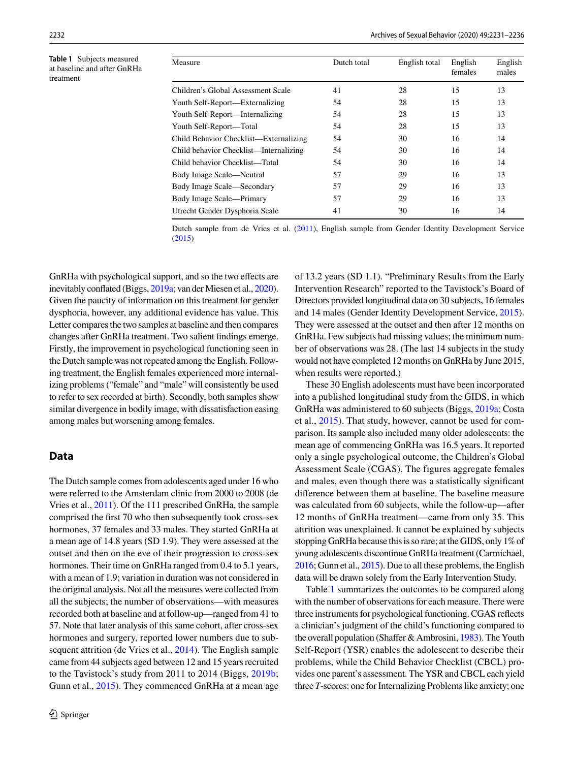<span id="page-1-0"></span>**Table 1** Subjects measured at baseline and after GnRHa treatment

| Measure                                | Dutch total | English total | English<br>females | English<br>males |
|----------------------------------------|-------------|---------------|--------------------|------------------|
| Children's Global Assessment Scale     | 41          | 28            | 15                 | 13               |
| Youth Self-Report—Externalizing        | 54          | 28            | 15                 | 13               |
| Youth Self-Report—Internalizing        | 54          | 28            | 15                 | 13               |
| Youth Self-Report—Total                | 54          | 28            | 15                 | 13               |
| Child Behavior Checklist—Externalizing | 54          | 30            | 16                 | 14               |
| Child behavior Checklist—Internalizing | 54          | 30            | 16                 | 14               |
| Child behavior Checklist—Total         | 54          | 30            | 16                 | 14               |
| Body Image Scale—Neutral               | 57          | 29            | 16                 | 13               |
| Body Image Scale—Secondary             | 57          | 29            | 16                 | 13               |
| Body Image Scale—Primary               | 57          | 29            | 16                 | 13               |
| Utrecht Gender Dysphoria Scale         | 41          | 30            | 16                 | 14               |

Dutch sample from de Vries et al. [\(2011](#page-5-4)), English sample from Gender Identity Development Service [\(2015](#page-5-9))

GnRHa with psychological support, and so the two efects are inevitably confated (Biggs, [2019a;](#page-4-4) van der Miesen et al., [2020\)](#page-5-7). Given the paucity of information on this treatment for gender dysphoria, however, any additional evidence has value. This Letter compares the two samples at baseline and then compares changes after GnRHa treatment. Two salient fndings emerge. Firstly, the improvement in psychological functioning seen in the Dutch sample was not repeated among the English. Following treatment, the English females experienced more internalizing problems ("female" and "male" will consistently be used to refer to sex recorded at birth). Secondly, both samples show similar divergence in bodily image, with dissatisfaction easing among males but worsening among females.

### **Data**

The Dutch sample comes from adolescents aged under 16 who were referred to the Amsterdam clinic from 2000 to 2008 (de Vries et al., [2011](#page-5-4)). Of the 111 prescribed GnRHa, the sample comprised the frst 70 who then subsequently took cross-sex hormones, 37 females and 33 males. They started GnRHa at a mean age of 14.8 years (SD 1.9). They were assessed at the outset and then on the eve of their progression to cross-sex hormones. Their time on GnRHa ranged from 0.4 to 5.1 years, with a mean of 1.9; variation in duration was not considered in the original analysis. Not all the measures were collected from all the subjects; the number of observations—with measures recorded both at baseline and at follow-up—ranged from 41 to 57. Note that later analysis of this same cohort, after cross-sex hormones and surgery, reported lower numbers due to subsequent attrition (de Vries et al., [2014\)](#page-5-12). The English sample came from 44 subjects aged between 12 and 15 years recruited to the Tavistock's study from 2011 to 2014 (Biggs, [2019b](#page-4-3); Gunn et al., [2015\)](#page-5-13). They commenced GnRHa at a mean age

of 13.2 years (SD 1.1). "Preliminary Results from the Early Intervention Research" reported to the Tavistock's Board of Directors provided longitudinal data on 30 subjects, 16 females and 14 males (Gender Identity Development Service, [2015](#page-5-9)). They were assessed at the outset and then after 12 months on GnRHa. Few subjects had missing values; the minimum number of observations was 28. (The last 14 subjects in the study would not have completed 12 months on GnRHa by June 2015, when results were reported.)

These 30 English adolescents must have been incorporated into a published longitudinal study from the GIDS, in which GnRHa was administered to 60 subjects (Biggs, [2019a](#page-4-4); Costa et al., [2015](#page-5-14)). That study, however, cannot be used for comparison. Its sample also included many older adolescents: the mean age of commencing GnRHa was 16.5 years. It reported only a single psychological outcome, the Children's Global Assessment Scale (CGAS). The figures aggregate females and males, even though there was a statistically signifcant diference between them at baseline. The baseline measure was calculated from 60 subjects, while the follow-up—after 12 months of GnRHa treatment—came from only 35. This attrition was unexplained. It cannot be explained by subjects stopping GnRHa because this is so rare; at the GIDS, only 1% of young adolescents discontinue GnRHa treatment (Carmichael, [2016](#page-4-5); Gunn et al., [2015](#page-5-13)). Due to all these problems, the English data will be drawn solely from the Early Intervention Study.

Table [1](#page-1-0) summarizes the outcomes to be compared along with the number of observations for each measure. There were three instruments for psychological functioning. CGAS refects a clinician's judgment of the child's functioning compared to the overall population (Shaffer & Ambrosini, [1983\)](#page-5-15). The Youth Self-Report (YSR) enables the adolescent to describe their problems, while the Child Behavior Checklist (CBCL) provides one parent's assessment. The YSR and CBCL each yield three *T*-scores: one for Internalizing Problems like anxiety; one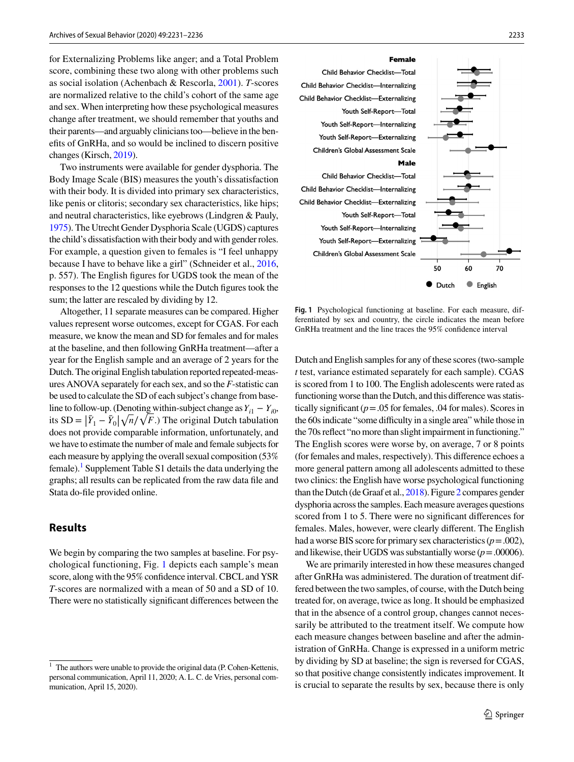for Externalizing Problems like anger; and a Total Problem score, combining these two along with other problems such as social isolation (Achenbach & Rescorla, [2001\)](#page-4-6). *T*-scores are normalized relative to the child's cohort of the same age and sex. When interpreting how these psychological measures change after treatment, we should remember that youths and their parents—and arguably clinicians too—believe in the benefts of GnRHa, and so would be inclined to discern positive changes (Kirsch, [2019](#page-5-11)).

Two instruments were available for gender dysphoria. The Body Image Scale (BIS) measures the youth's dissatisfaction with their body. It is divided into primary sex characteristics, like penis or clitoris; secondary sex characteristics, like hips; and neutral characteristics, like eyebrows (Lindgren & Pauly, [1975\)](#page-5-16). The Utrecht Gender Dysphoria Scale (UGDS) captures the child's dissatisfaction with their body and with gender roles. For example, a question given to females is "I feel unhappy because I have to behave like a girl" (Schneider et al., [2016,](#page-5-17) p. 557). The English fgures for UGDS took the mean of the responses to the 12 questions while the Dutch fgures took the sum; the latter are rescaled by dividing by 12.

Altogether, 11 separate measures can be compared. Higher values represent worse outcomes, except for CGAS. For each measure, we know the mean and SD for females and for males at the baseline, and then following GnRHa treatment—after a year for the English sample and an average of 2 years for the Dutch. The original English tabulation reported repeated-measures ANOVA separately for each sex, and so the *F*-statistic can be used to calculate the SD of each subject's change from baseline to follow-up. (Denoting within-subject change as  $Y_{i1} - Y_{i0}$ , its  $SD = |\bar{Y}_1 - \bar{Y}_0| \sqrt{n}/\sqrt{F}$ . The original Dutch tabulation<br>does not provide comparable information unfortunately and  $\frac{d}{dx}$  does not provide comparable information, unfortunately, and we have to estimate the number of male and female subjects for each measure by applying the overall sexual composition (53% female).<sup>1</sup> Supplement Table S1 details the data underlying the graphs; all results can be replicated from the raw data fle and Stata do-fle provided online.

## **Results**

We begin by comparing the two samples at baseline. For psychological functioning, Fig. [1](#page-2-1) depicts each sample's mean score, along with the 95% confdence interval. CBCL and YSR *T*-scores are normalized with a mean of 50 and a SD of 10. There were no statistically signifcant diferences between the



<span id="page-2-1"></span>**Fig. 1** Psychological functioning at baseline. For each measure, differentiated by sex and country, the circle indicates the mean before GnRHa treatment and the line traces the 95% confdence interval

Dutch and English samples for any of these scores (two-sample *t* test, variance estimated separately for each sample). CGAS is scored from 1 to 100. The English adolescents were rated as functioning worse than the Dutch, and this diference was statistically signifcant (*p*=.05 for females, .04 for males). Scores in the 60s indicate "some difficulty in a single area" while those in the 70s refect "no more than slight impairment in functioning." The English scores were worse by, on average, 7 or 8 points (for females and males, respectively). This diference echoes a more general pattern among all adolescents admitted to these two clinics: the English have worse psychological functioning than the Dutch (de Graaf et al., [2018](#page-5-18)). Figure [2](#page-3-0) compares gender dysphoria across the samples. Each measure averages questions scored from 1 to 5. There were no signifcant diferences for females. Males, however, were clearly diferent. The English had a worse BIS score for primary sex characteristics  $(p=.002)$ , and likewise, their UGDS was substantially worse  $(p = .00006)$ .

We are primarily interested in how these measures changed after GnRHa was administered. The duration of treatment differed between the two samples, of course, with the Dutch being treated for, on average, twice as long. It should be emphasized that in the absence of a control group, changes cannot necessarily be attributed to the treatment itself. We compute how each measure changes between baseline and after the administration of GnRHa. Change is expressed in a uniform metric by dividing by SD at baseline; the sign is reversed for CGAS, so that positive change consistently indicates improvement. It is crucial to separate the results by sex, because there is only

<span id="page-2-0"></span>The authors were unable to provide the original data (P. Cohen-Kettenis, personal communication, April 11, 2020; A. L. C. de Vries, personal communication, April 15, 2020).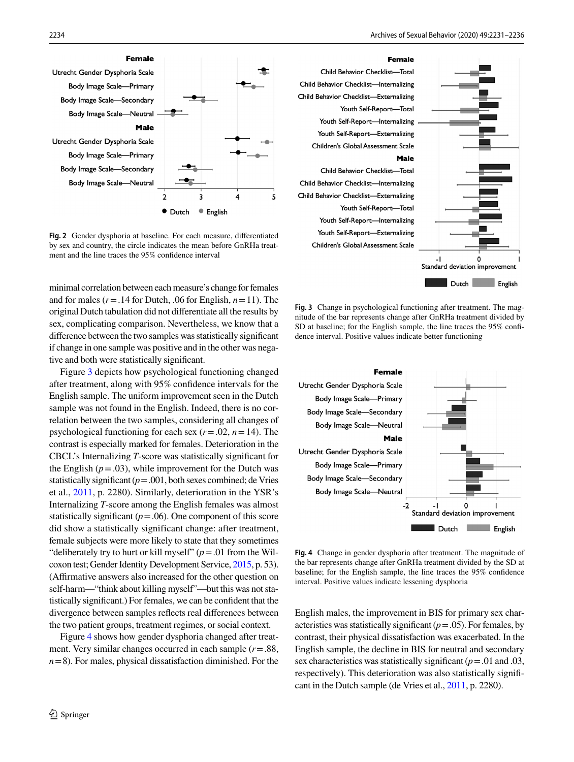

<span id="page-3-0"></span>**Fig. 2** Gender dysphoria at baseline. For each measure, diferentiated by sex and country, the circle indicates the mean before GnRHa treatment and the line traces the 95% confdence interval

minimal correlation between each measure's change for females and for males ( $r = .14$  for Dutch, .06 for English,  $n = 11$ ). The original Dutch tabulation did not diferentiate all the results by sex, complicating comparison. Nevertheless, we know that a diference between the two samples was statistically signifcant if change in one sample was positive and in the other was negative and both were statistically signifcant.

Figure [3](#page-3-1) depicts how psychological functioning changed after treatment, along with 95% confdence intervals for the English sample. The uniform improvement seen in the Dutch sample was not found in the English. Indeed, there is no correlation between the two samples, considering all changes of psychological functioning for each sex  $(r = .02, n = 14)$ . The contrast is especially marked for females. Deterioration in the CBCL's Internalizing *T*-score was statistically signifcant for the English  $(p=.03)$ , while improvement for the Dutch was statistically significant  $(p = .001, \text{both sexes combined}; \text{de Vries}$ et al., [2011](#page-5-4), p. 2280). Similarly, deterioration in the YSR's Internalizing *T*-score among the English females was almost statistically significant  $(p = .06)$ . One component of this score did show a statistically significant change: after treatment, female subjects were more likely to state that they sometimes "deliberately try to hurt or kill myself"  $(p = .01$  from the Wilcoxon test; Gender Identity Development Service, [2015](#page-5-9), p. 53). (Afrmative answers also increased for the other question on self-harm—"think about killing myself"—but this was not statistically signifcant.) For females, we can be confdent that the divergence between samples refects real diferences between the two patient groups, treatment regimes, or social context.

Figure [4](#page-3-2) shows how gender dysphoria changed after treatment. Very similar changes occurred in each sample (*r*=.88,  $n=8$ ). For males, physical dissatisfaction diminished. For the



<span id="page-3-1"></span>**Fig. 3** Change in psychological functioning after treatment. The magnitude of the bar represents change after GnRHa treatment divided by SD at baseline; for the English sample, the line traces the 95% confidence interval. Positive values indicate better functioning

Dutch English



<span id="page-3-2"></span>**Fig. 4** Change in gender dysphoria after treatment. The magnitude of the bar represents change after GnRHa treatment divided by the SD at baseline; for the English sample, the line traces the 95% confdence interval. Positive values indicate lessening dysphoria

English males, the improvement in BIS for primary sex characteristics was statistically significant  $(p=.05)$ . For females, by contrast, their physical dissatisfaction was exacerbated. In the English sample, the decline in BIS for neutral and secondary sex characteristics was statistically signifcant (*p*=.01 and .03, respectively). This deterioration was also statistically signifcant in the Dutch sample (de Vries et al., [2011](#page-5-4), p. 2280).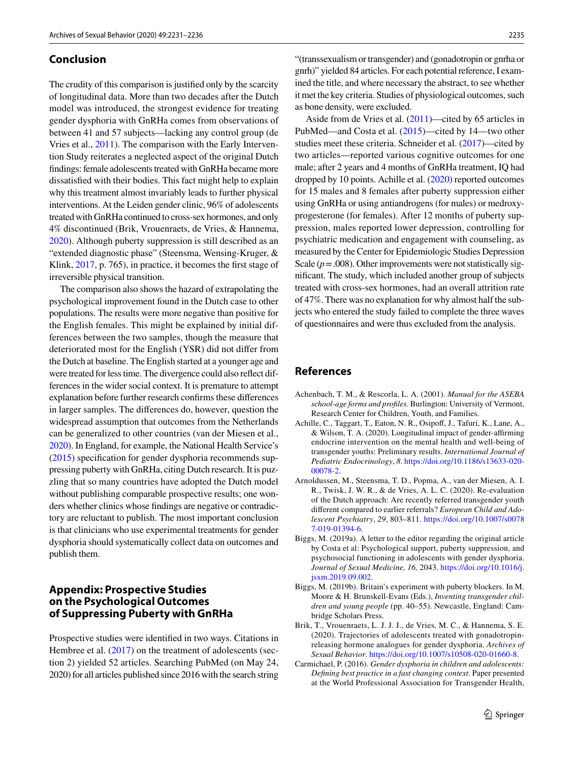#### **Conclusion**

The crudity of this comparison is justifed only by the scarcity of longitudinal data. More than two decades after the Dutch model was introduced, the strongest evidence for treating gender dysphoria with GnRHa comes from observations of between 41 and 57 subjects—lacking any control group (de Vries et al., [2011\)](#page-5-4). The comparison with the Early Intervention Study reiterates a neglected aspect of the original Dutch fndings: female adolescents treated with GnRHa became more dissatisfed with their bodies. This fact might help to explain why this treatment almost invariably leads to further physical interventions. At the Leiden gender clinic, 96% of adolescents treated with GnRHa continued to cross-sex hormones, and only 4% discontinued (Brik, Vrouenraets, de Vries, & Hannema, [2020](#page-4-7)). Although puberty suppression is still described as an "extended diagnostic phase" (Steensma, Wensing-Kruger, & Klink, [2017](#page-5-19), p. 765), in practice, it becomes the frst stage of irreversible physical transition.

The comparison also shows the hazard of extrapolating the psychological improvement found in the Dutch case to other populations. The results were more negative than positive for the English females. This might be explained by initial differences between the two samples, though the measure that deteriorated most for the English (YSR) did not difer from the Dutch at baseline. The English started at a younger age and were treated for less time. The divergence could also refect differences in the wider social context. It is premature to attempt explanation before further research confrms these diferences in larger samples. The diferences do, however, question the widespread assumption that outcomes from the Netherlands can be generalized to other countries (van der Miesen et al., [2020\)](#page-5-7). In England, for example, the National Health Service's [\(2015](#page-5-20)) specifcation for gender dysphoria recommends suppressing puberty with GnRHa, citing Dutch research. It is puzzling that so many countries have adopted the Dutch model without publishing comparable prospective results; one wonders whether clinics whose fndings are negative or contradictory are reluctant to publish. The most important conclusion is that clinicians who use experimental treatments for gender dysphoria should systematically collect data on outcomes and publish them.

# <span id="page-4-1"></span>**Appendix: Prospective Studies on the Psychological Outcomes of Suppressing Puberty with GnRHa**

Prospective studies were identifed in two ways. Citations in Hembree et al. ([2017\)](#page-5-21) on the treatment of adolescents (section 2) yielded 52 articles. Searching PubMed (on May 24, 2020) for all articles published since 2016 with the search string

"(transsexualism or transgender) and (gonadotropin or gnrha or gnrh)" yielded 84 articles. For each potential reference, I examined the title, and where necessary the abstract, to see whether it met the key criteria. Studies of physiological outcomes, such as bone density, were excluded.

Aside from de Vries et al. [\(2011](#page-5-4))—cited by 65 articles in PubMed—and Costa et al. [\(2015](#page-5-14))—cited by 14—two other studies meet these criteria. Schneider et al. ([2017\)](#page-5-22)—cited by two articles—reported various cognitive outcomes for one male; after 2 years and 4 months of GnRHa treatment, IQ had dropped by 10 points. Achille et al. ([2020](#page-4-2)) reported outcomes for 15 males and 8 females after puberty suppression either using GnRHa or using antiandrogens (for males) or medroxyprogesterone (for females). After 12 months of puberty suppression, males reported lower depression, controlling for psychiatric medication and engagement with counseling, as measured by the Center for Epidemiologic Studies Depression Scale  $(p=.008)$ . Other improvements were not statistically signifcant. The study, which included another group of subjects treated with cross-sex hormones, had an overall attrition rate of 47%. There was no explanation for why almost half the subjects who entered the study failed to complete the three waves of questionnaires and were thus excluded from the analysis.

### **References**

- <span id="page-4-6"></span>Achenbach, T. M., & Rescorla, L. A. (2001). *Manual for the ASEBA school-age forms and profles*. Burlington: University of Vermont, Research Center for Children, Youth, and Families.
- <span id="page-4-2"></span>Achille, C., Taggart, T., Eaton, N. R., Osipof, J., Tafuri, K., Lane, A., & Wilson, T. A. (2020). Longitudinal impact of gender-afrming endocrine intervention on the mental health and well-being of transgender youths: Preliminary results. *International Journal of Pediatric Endocrinology*, *8*. [https://doi.org/10.1186/s13633-020-](https://doi.org/10.1186/s13633-020-00078-2) [00078-2.](https://doi.org/10.1186/s13633-020-00078-2)
- <span id="page-4-0"></span>Arnoldussen, M., Steensma, T. D., Popma, A., van der Miesen, A. I. R., Twisk, J. W. R., & de Vries, A. L. C. (2020). Re-evaluation of the Dutch approach: Are recently referred transgender youth diferent compared to earlier referrals? *European Child and Adolescent Psychiatry*, *29*, 803–811. [https://doi.org/10.1007/s0078](https://doi.org/10.1007/s00787-019-01394-6) [7-019-01394-6.](https://doi.org/10.1007/s00787-019-01394-6)
- <span id="page-4-4"></span>Biggs, M. (2019a). A letter to the editor regarding the original article by Costa et al: Psychological support, puberty suppression, and psychosocial functioning in adolescents with gender dysphoria. *Journal of Sexual Medicine, 16,* 2043. [https://doi.org/10.1016/j.](https://doi.org/10.1016/j.jsxm.2019.09.002) [jsxm.2019.09.002.](https://doi.org/10.1016/j.jsxm.2019.09.002)
- <span id="page-4-3"></span>Biggs, M. (2019b). Britain's experiment with puberty blockers. In M. Moore & H. Brunskell-Evans (Eds.), *Inventing transgender children and young people* (pp. 40–55). Newcastle, England: Cambridge Scholars Press.
- <span id="page-4-7"></span>Brik, T., Vrouenraets, L. J. J. J., de Vries, M. C., & Hannema, S. E. (2020). Trajectories of adolescents treated with gonadotropinreleasing hormone analogues for gender dysphoria. *Archives of Sexual Behavior*. [https://doi.org/10.1007/s10508-020-01660-8.](https://doi.org/10.1007/s10508-020-01660-8)
- <span id="page-4-5"></span>Carmichael, P. (2016). *Gender dysphoria in children and adolescents: Defning best practice in a fast changing context.* Paper presented at the World Professional Association for Transgender Health,